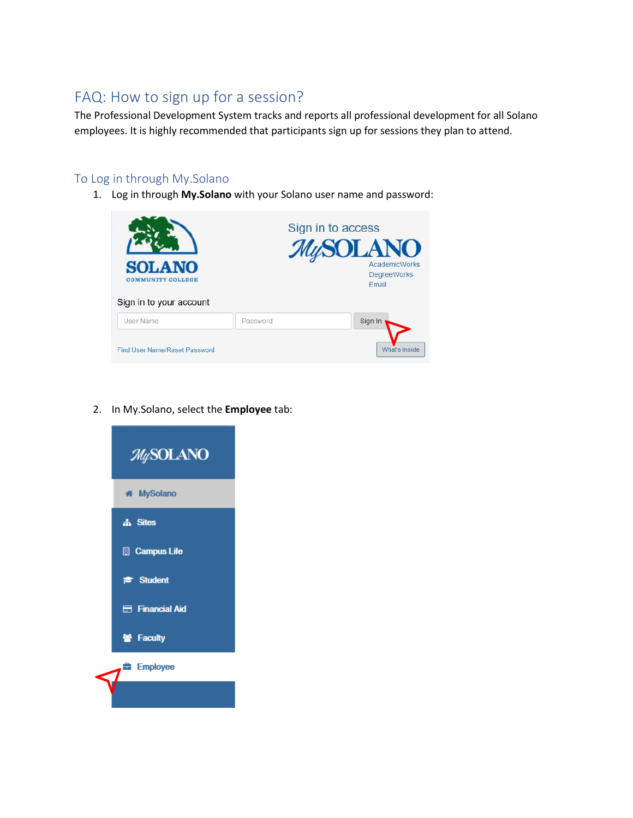## FAQ: How to sign up for a session?

The Professional Development System tracks and reports all professional development for all Solano employees. It is highly recommended that participants sign up for sessions they plan to attend.

### To Log in through My.Solano

1. Log in through **My.Solano** with your Solano user name and password:



2. In My.Solano, select the **Employee** tab:

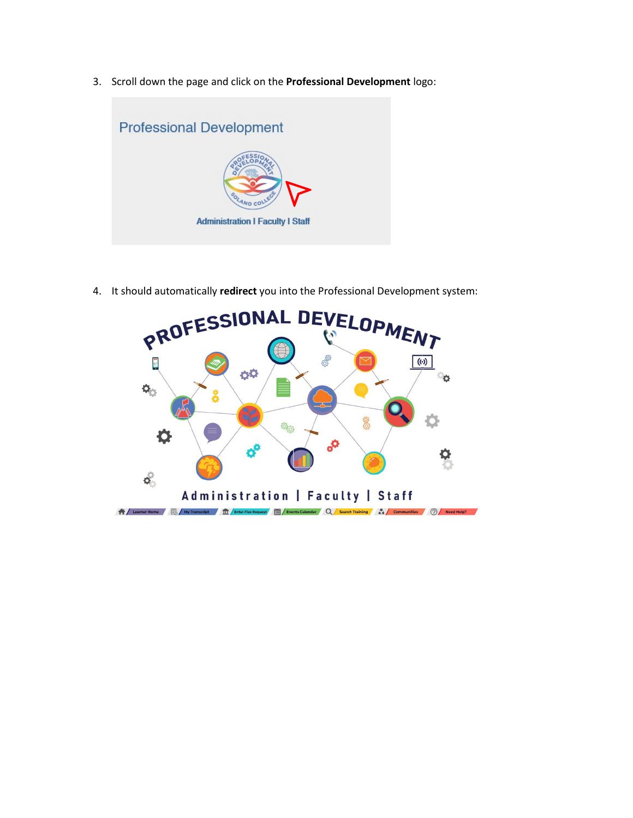3. Scroll down the page and click on the **Professional Development** logo:



4. It should automatically **redirect** you into the Professional Development system:

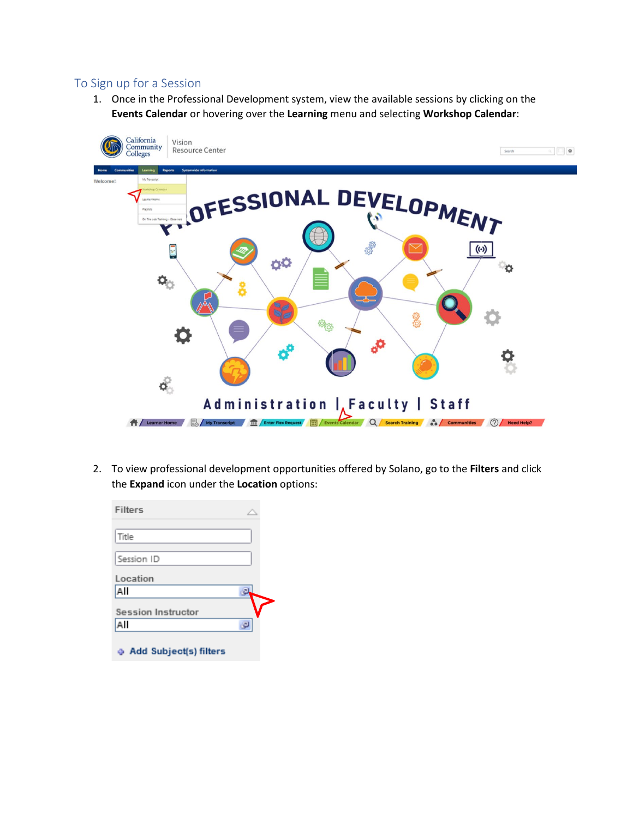#### To Sign up for a Session

1. Once in the Professional Development system, view the available sessions by clicking on the **Events Calendar** or hovering over the **Learning** menu and selecting **Workshop Calendar**:



2. To view professional development opportunities offered by Solano, go to the **Filters** and click the **Expand** icon under the **Location** options:

| Filters                         |  |
|---------------------------------|--|
| Title                           |  |
| Session ID                      |  |
| Location                        |  |
| All                             |  |
| Session Instructor              |  |
| All                             |  |
| <b>4 Add Subject(s) filters</b> |  |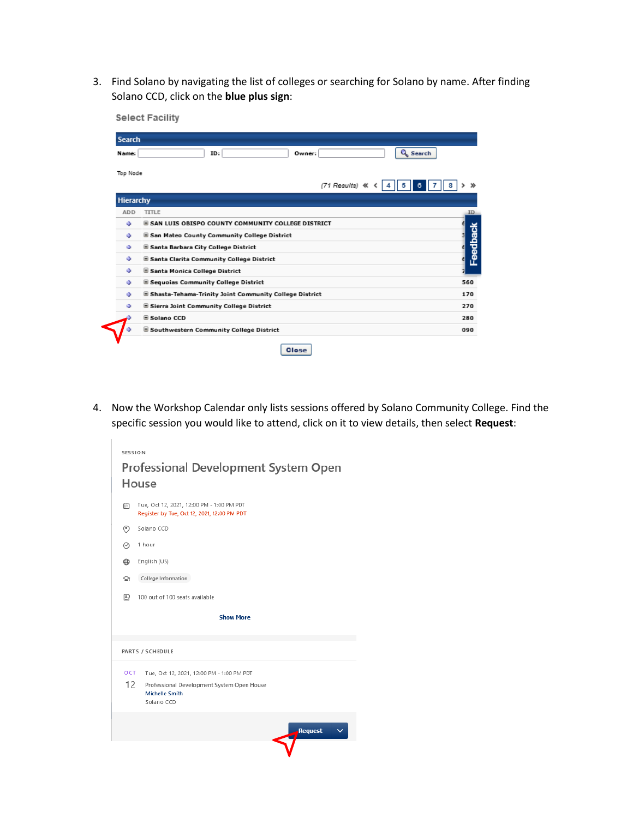3. Find Solano by navigating the list of colleges or searching for Solano by name. After finding Solano CCD, click on the **blue plus sign**:



4. Now the Workshop Calendar only lists sessions offered by Solano Community College. Find the specific session you would like to attend, click on it to view details, then select **Request**:

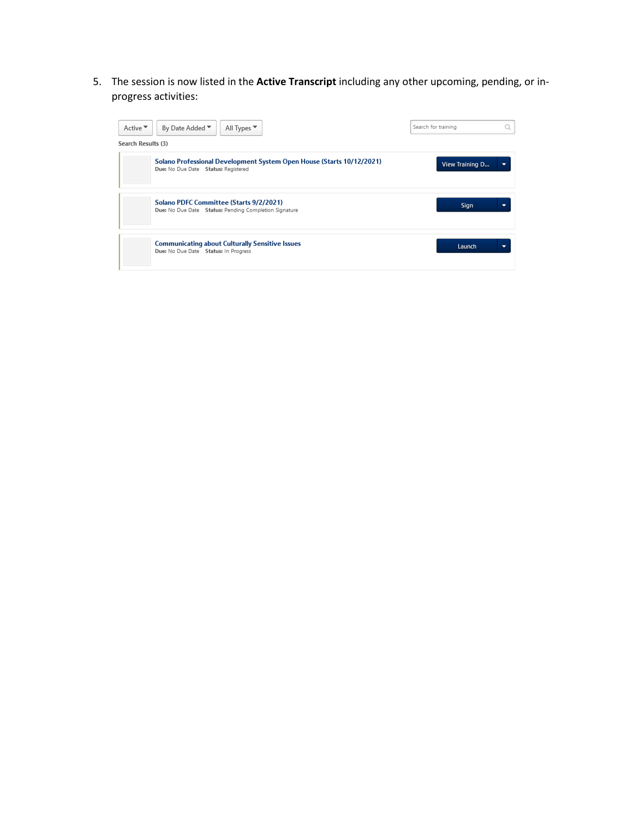5. The session is now listed in the **Active Transcript** including any other upcoming, pending, or inprogress activities:

| Active $\overline{\phantom{a}}$<br>By Date Added ▼<br>All Types ▼<br>Search Results (3)                      | Search for training |  |
|--------------------------------------------------------------------------------------------------------------|---------------------|--|
| Solano Professional Development System Open House (Starts 10/12/2021)<br>Due: No Due Date Status: Registered | View Training D     |  |
| Solano PDFC Committee (Starts 9/2/2021)<br>Due: No Due Date Status: Pending Completion Signature             | Sign                |  |
| <b>Communicating about Culturally Sensitive Issues</b><br>Due: No Due Date Status: In Progress               | Launch              |  |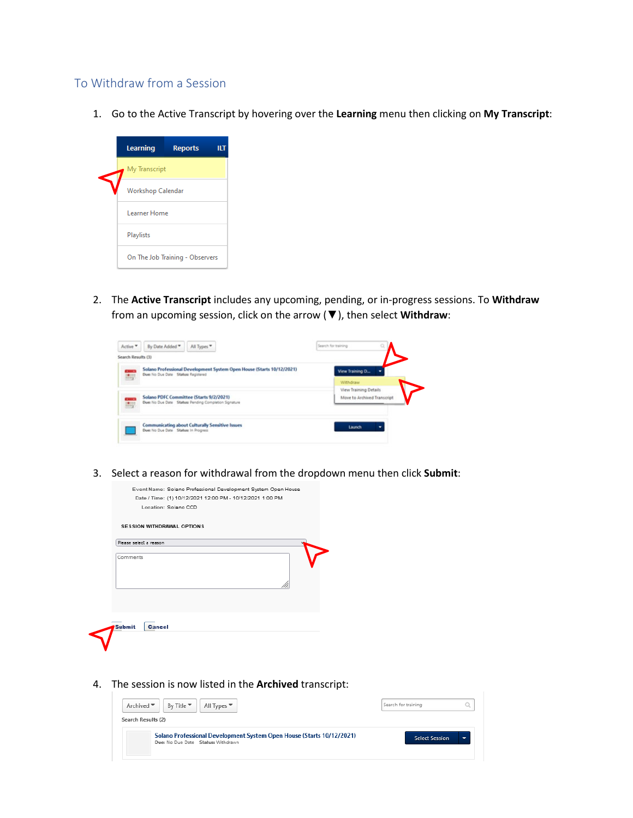#### To Withdraw from a Session

1. Go to the Active Transcript by hovering over the **Learning** menu then clicking on **My Transcript**:



2. The **Active Transcript** includes any upcoming, pending, or in-progress sessions. To **Withdraw** from an upcoming session, click on the arrow (▼), then select **Withdraw**:

| Active *           | By Date Added <sup>*</sup><br>All Types <sup>*</sup>                                                         | Search for training                                  |  |
|--------------------|--------------------------------------------------------------------------------------------------------------|------------------------------------------------------|--|
| Search Results (3) |                                                                                                              |                                                      |  |
| <b>CELL</b>        | Solano Professional Development System Open House (Starts 10/12/2021)<br>Due: No Due Date Status: Registered | View Training D                                      |  |
|                    |                                                                                                              | Withdraw                                             |  |
|                    | Solano PDFC Committee (Starts 9/2/2021)                                                                      | View Training Details<br>Move to Archived Transcript |  |
| 脚                  | Due: No Due Date Status: Pending Completion Signature                                                        |                                                      |  |
|                    |                                                                                                              |                                                      |  |
|                    | <b>Communicating about Culturally Sensitive Issues</b><br>Due: No Due Date Status: In Progress               | Launch                                               |  |
|                    |                                                                                                              |                                                      |  |

3. Select a reason for withdrawal from the dropdown menu then click **Submit**:

| Location: Solano CCD       | Date / Time: (1) 10/12/2021 12:00 PM - 10/12/2021 1:00 PM |
|----------------------------|-----------------------------------------------------------|
| SESSION WITHDRAWAL OPTIONS |                                                           |
| Please select a reason     |                                                           |
| Comments                   |                                                           |
|                            |                                                           |
|                            |                                                           |
|                            |                                                           |
|                            |                                                           |
| Cancel<br>Submit           |                                                           |
|                            |                                                           |

4. The session is now listed in the **Archived** transcript:

| Archived ▼<br>All Types $\Psi$<br>By Title $\Psi$                                                           | Search for training   |  |
|-------------------------------------------------------------------------------------------------------------|-----------------------|--|
| Search Results (2)                                                                                          |                       |  |
| Solano Professional Development System Open House (Starts 10/12/2021)<br>Due: No Due Date Status: Withdrawn | <b>Select Session</b> |  |